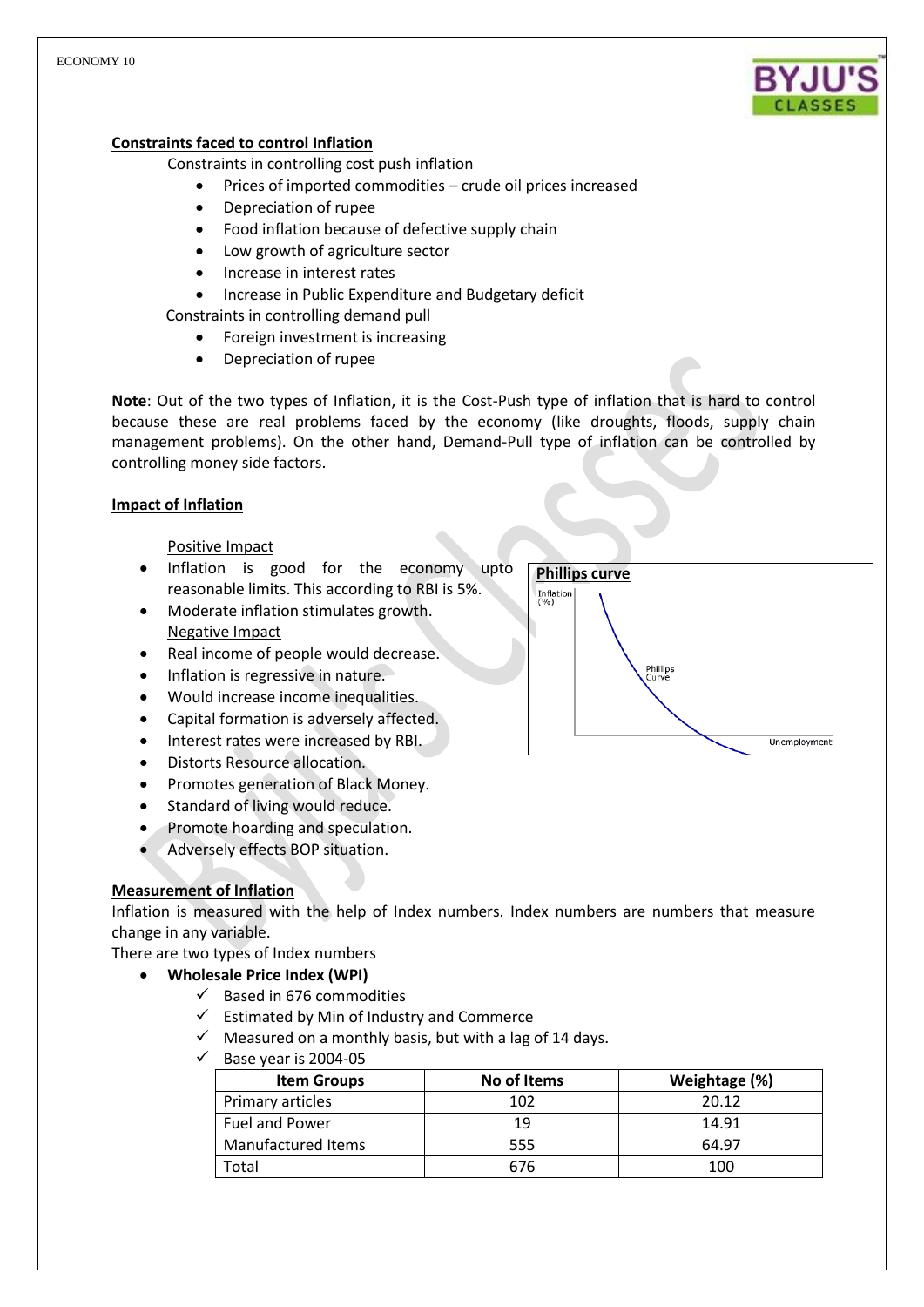

# **Constraints faced to control Inflation**

Constraints in controlling cost push inflation

- Prices of imported commodities crude oil prices increased
- Depreciation of rupee
- Food inflation because of defective supply chain
- Low growth of agriculture sector
- Increase in interest rates
- Increase in Public Expenditure and Budgetary deficit

Constraints in controlling demand pull

- Foreign investment is increasing
- Depreciation of rupee

**Note**: Out of the two types of Inflation, it is the Cost-Push type of inflation that is hard to control because these are real problems faced by the economy (like droughts, floods, supply chain management problems). On the other hand, Demand-Pull type of inflation can be controlled by controlling money side factors.

# **Impact of Inflation**

# Positive Impact

- Inflation is good for the economy upto reasonable limits. This according to RBI is 5%.
- Moderate inflation stimulates growth. Negative Impact
- Real income of people would decrease.
- Inflation is regressive in nature.
- Would increase income inequalities.
- Capital formation is adversely affected.
- Interest rates were increased by RBI.
- Distorts Resource allocation.
- Promotes generation of Black Money.
- Standard of living would reduce.
- Promote hoarding and speculation.
- Adversely effects BOP situation.

# **Measurement of Inflation**

Inflation is measured with the help of Index numbers. Index numbers are numbers that measure change in any variable.

There are two types of Index numbers

- **Wholesale Price Index (WPI)**
	- $\checkmark$  Based in 676 commodities
	- $\checkmark$  Estimated by Min of Industry and Commerce
	- $\checkmark$  Measured on a monthly basis, but with a lag of 14 days.
	- $\checkmark$  Base year is 2004-05

| <b>Item Groups</b> | No of Items | Weightage (%) |
|--------------------|-------------|---------------|
| Primary articles   | 102         | 20.12         |
| Fuel and Power     | 19          | 14.91         |
| Manufactured Items | 555         | 64.97         |
| Гоtal              | 676         | 100           |

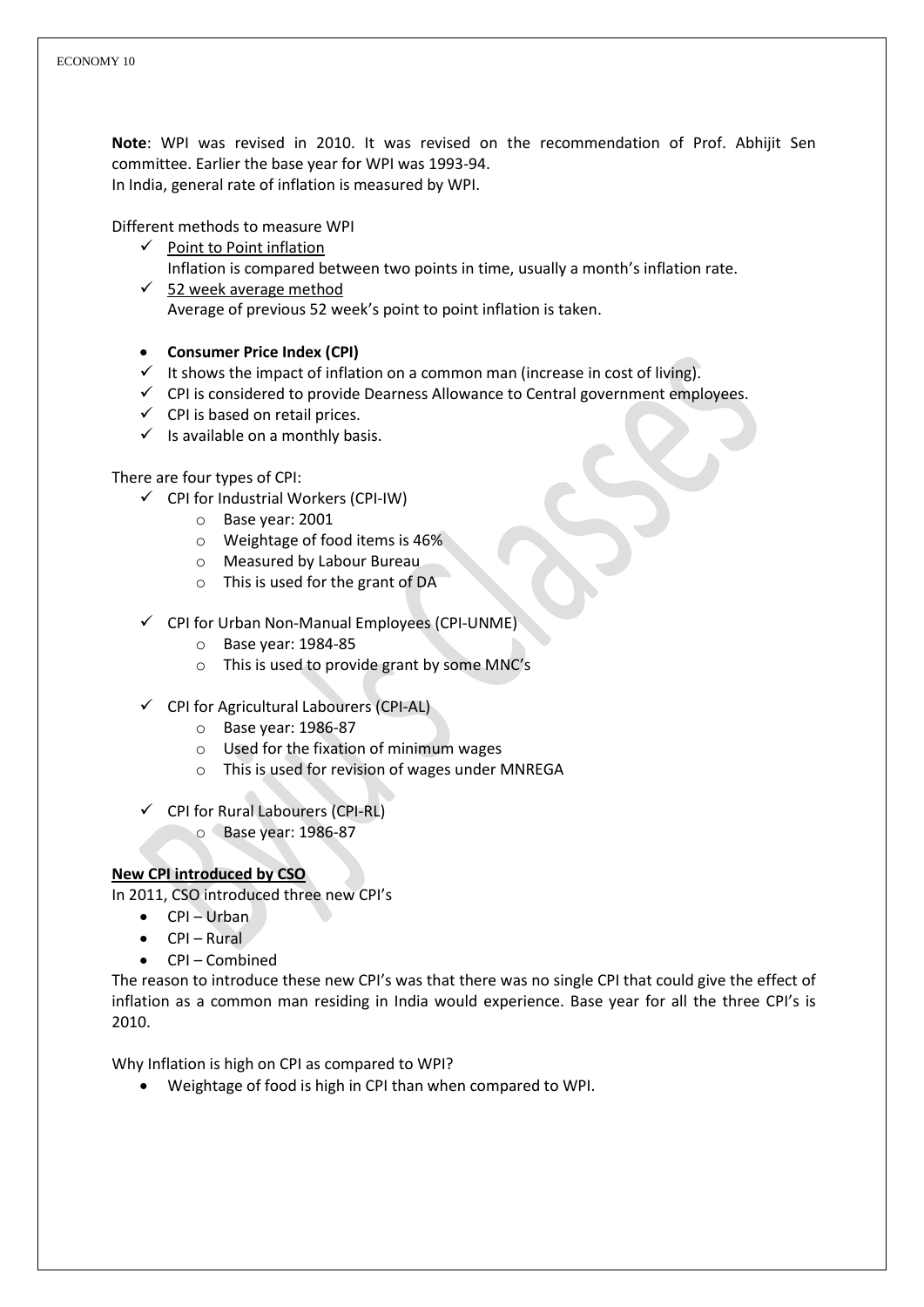**Note**: WPI was revised in 2010. It was revised on the recommendation of Prof. Abhijit Sen committee. Earlier the base year for WPI was 1993-94. In India, general rate of inflation is measured by WPI.

Different methods to measure WPI

- $\checkmark$  Point to Point inflation Inflation is compared between two points in time, usually a month's inflation rate.
- $\checkmark$  52 week average method Average of previous 52 week's point to point inflation is taken.
- **Consumer Price Index (CPI)**
- $\checkmark$  It shows the impact of inflation on a common man (increase in cost of living).
- $\checkmark$  CPI is considered to provide Dearness Allowance to Central government employees.
- $\checkmark$  CPI is based on retail prices.
- $\checkmark$  is available on a monthly basis.

# There are four types of CPI:

- $\checkmark$  CPI for Industrial Workers (CPI-IW)
	- o Base year: 2001
	- o Weightage of food items is 46%
	- o Measured by Labour Bureau
	- o This is used for the grant of DA
- CPI for Urban Non-Manual Employees (CPI-UNME)
	- o Base year: 1984-85
	- o This is used to provide grant by some MNC's
- $\checkmark$  CPI for Agricultural Labourers (CPI-AL)
	- o Base year: 1986-87
	- o Used for the fixation of minimum wages
	- o This is used for revision of wages under MNREGA
- $\checkmark$  CPI for Rural Labourers (CPI-RL)
	- o Base year: 1986-87

# **New CPI introduced by CSO**

In 2011, CSO introduced three new CPI's

- $\bullet$  CPI Urban
- $\bullet$  CPI Rural
- CPI Combined

The reason to introduce these new CPI's was that there was no single CPI that could give the effect of inflation as a common man residing in India would experience. Base year for all the three CPI's is 2010.

Why Inflation is high on CPI as compared to WPI?

Weightage of food is high in CPI than when compared to WPI.